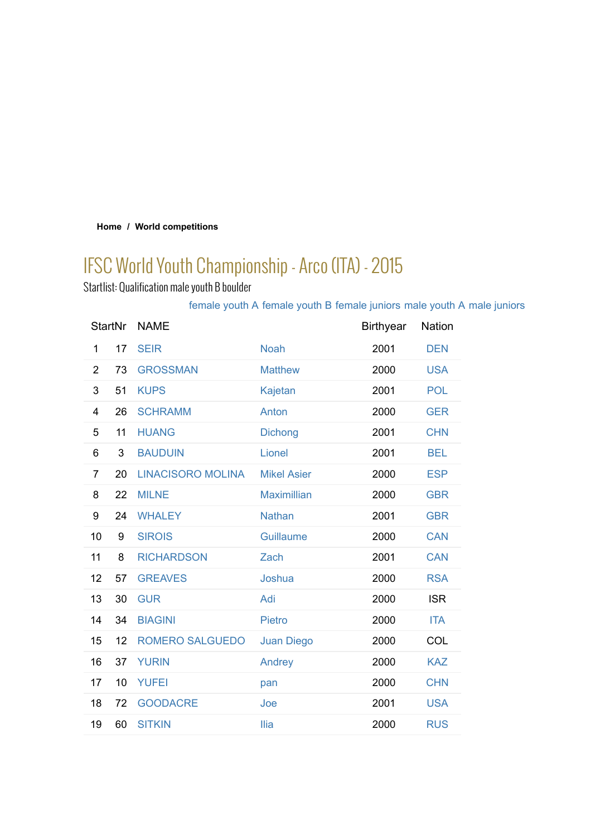### **Home / World competitions**

# IFSC World Youth Championship - Arco (ITA) - 2015

Startlist: Qualification male youth B boulder

# female youth A female youth B female juniors male youth A male juniors

| <b>StartNr</b> |    | <b>NAME</b>              |                    | <b>Birthyear</b> | <b>Nation</b> |
|----------------|----|--------------------------|--------------------|------------------|---------------|
| 1              | 17 | <b>SEIR</b>              | <b>Noah</b>        | 2001             | <b>DEN</b>    |
| 2              | 73 | <b>GROSSMAN</b>          | <b>Matthew</b>     | 2000             | <b>USA</b>    |
| 3              | 51 | <b>KUPS</b>              | Kajetan            | 2001             | <b>POL</b>    |
| 4              | 26 | <b>SCHRAMM</b>           | Anton              | 2000             | <b>GER</b>    |
| 5              | 11 | <b>HUANG</b>             | <b>Dichong</b>     | 2001             | <b>CHN</b>    |
| 6              | 3  | <b>BAUDUIN</b>           | Lionel             | 2001             | <b>BEL</b>    |
| 7              | 20 | <b>LINACISORO MOLINA</b> | <b>Mikel Asier</b> | 2000             | <b>ESP</b>    |
| 8              | 22 | <b>MILNE</b>             | <b>Maximillian</b> | 2000             | <b>GBR</b>    |
| 9              | 24 | <b>WHALEY</b>            | <b>Nathan</b>      | 2001             | <b>GBR</b>    |
| 10             | 9  | <b>SIROIS</b>            | <b>Guillaume</b>   | 2000             | <b>CAN</b>    |
| 11             | 8  | <b>RICHARDSON</b>        | Zach               | 2001             | <b>CAN</b>    |
| 12             | 57 | <b>GREAVES</b>           | Joshua             | 2000             | <b>RSA</b>    |
| 13             | 30 | <b>GUR</b>               | Adi                | 2000             | <b>ISR</b>    |
| 14             | 34 | <b>BIAGINI</b>           | <b>Pietro</b>      | 2000             | <b>ITA</b>    |
| 15             | 12 | <b>ROMERO SALGUEDO</b>   | <b>Juan Diego</b>  | 2000             | COL           |
| 16             | 37 | <b>YURIN</b>             | Andrey             | 2000             | <b>KAZ</b>    |
| 17             | 10 | <b>YUFEI</b>             | pan                | 2000             | <b>CHN</b>    |
| 18             | 72 | <b>GOODACRE</b>          | Joe                | 2001             | <b>USA</b>    |
| 19             | 60 | <b>SITKIN</b>            | <b>Ilia</b>        | 2000             | <b>RUS</b>    |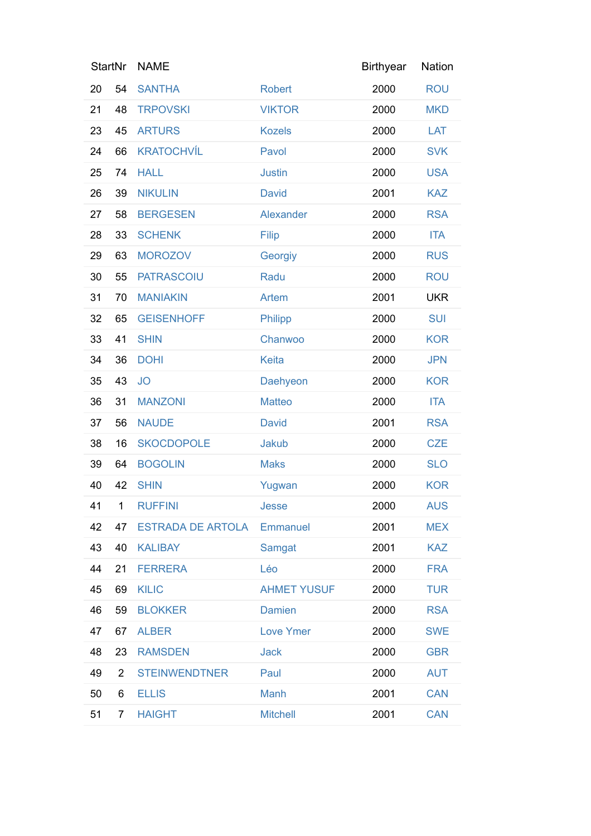|    | <b>StartNr</b> | <b>NAME</b>              |                    | <b>Birthyear</b> | Nation     |
|----|----------------|--------------------------|--------------------|------------------|------------|
| 20 | 54             | <b>SANTHA</b>            | <b>Robert</b>      | 2000             | <b>ROU</b> |
| 21 | 48             | <b>TRPOVSKI</b>          | <b>VIKTOR</b>      | 2000             | <b>MKD</b> |
| 23 | 45             | <b>ARTURS</b>            | <b>Kozels</b>      | 2000             | LAT        |
| 24 | 66             | <b>KRATOCHVÍL</b>        | Pavol              | 2000             | <b>SVK</b> |
| 25 | 74             | <b>HALL</b>              | <b>Justin</b>      | 2000             | <b>USA</b> |
| 26 | 39             | <b>NIKULIN</b>           | <b>David</b>       | 2001             | <b>KAZ</b> |
| 27 | 58             | <b>BERGESEN</b>          | Alexander          | 2000             | <b>RSA</b> |
| 28 | 33             | <b>SCHENK</b>            | Filip              | 2000             | <b>ITA</b> |
| 29 | 63             | <b>MOROZOV</b>           | Georgiy            | 2000             | <b>RUS</b> |
| 30 | 55             | <b>PATRASCOIU</b>        | Radu               | 2000             | <b>ROU</b> |
| 31 | 70             | <b>MANIAKIN</b>          | Artem              | 2001             | <b>UKR</b> |
| 32 | 65             | <b>GEISENHOFF</b>        | Philipp            | 2000             | <b>SUI</b> |
| 33 | 41             | <b>SHIN</b>              | Chanwoo            | 2000             | <b>KOR</b> |
| 34 | 36             | <b>DOHI</b>              | <b>Keita</b>       | 2000             | <b>JPN</b> |
| 35 | 43             | <b>JO</b>                | Daehyeon           | 2000             | <b>KOR</b> |
| 36 | 31             | <b>MANZONI</b>           | <b>Matteo</b>      | 2000             | <b>ITA</b> |
| 37 | 56             | <b>NAUDE</b>             | <b>David</b>       | 2001             | <b>RSA</b> |
| 38 | 16             | <b>SKOCDOPOLE</b>        | Jakub              | 2000             | <b>CZE</b> |
| 39 | 64             | <b>BOGOLIN</b>           | <b>Maks</b>        | 2000             | <b>SLO</b> |
| 40 | 42             | <b>SHIN</b>              | Yugwan             | 2000             | <b>KOR</b> |
| 41 | $\mathbf{1}$   | <b>RUFFINI</b>           | Jesse              | 2000             | <b>AUS</b> |
| 42 | 47             | <b>ESTRADA DE ARTOLA</b> | <b>Emmanuel</b>    | 2001             | <b>MEX</b> |
| 43 | 40             | <b>KALIBAY</b>           | Samgat             | 2001             | <b>KAZ</b> |
| 44 | 21             | <b>FERRERA</b>           | Léo                | 2000             | <b>FRA</b> |
| 45 | 69             | <b>KILIC</b>             | <b>AHMET YUSUF</b> | 2000             | <b>TUR</b> |
| 46 | 59             | <b>BLOKKER</b>           | <b>Damien</b>      | 2000             | <b>RSA</b> |
| 47 | 67             | <b>ALBER</b>             | <b>Love Ymer</b>   | 2000             | <b>SWE</b> |
| 48 | 23             | <b>RAMSDEN</b>           | <b>Jack</b>        | 2000             | <b>GBR</b> |
| 49 | $\overline{2}$ | <b>STEINWENDTNER</b>     | Paul               | 2000             | <b>AUT</b> |
| 50 | 6              | <b>ELLIS</b>             | Manh               | 2001             | <b>CAN</b> |
| 51 | 7              | <b>HAIGHT</b>            | <b>Mitchell</b>    | 2001             | <b>CAN</b> |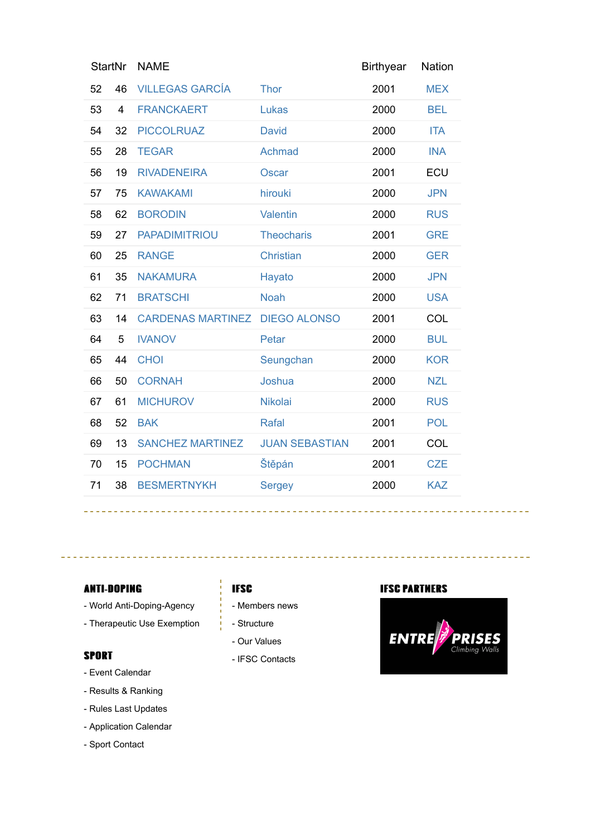| <b>StartNr</b> |    | <b>NAME</b>              |                       | <b>Birthyear</b> | <b>Nation</b> |
|----------------|----|--------------------------|-----------------------|------------------|---------------|
| 52             | 46 | <b>VILLEGAS GARCÍA</b>   | <b>Thor</b>           | 2001             | <b>MEX</b>    |
| 53             | 4  | <b>FRANCKAERT</b>        | Lukas                 | 2000             | <b>BEL</b>    |
| 54             | 32 | <b>PICCOLRUAZ</b>        | <b>David</b>          | 2000             | <b>ITA</b>    |
| 55             | 28 | <b>TEGAR</b>             | Achmad                | 2000             | <b>INA</b>    |
| 56             | 19 | <b>RIVADENEIRA</b>       | <b>Oscar</b>          | 2001             | ECU           |
| 57             | 75 | <b>KAWAKAMI</b>          | hirouki               | 2000             | <b>JPN</b>    |
| 58             | 62 | <b>BORODIN</b>           | <b>Valentin</b>       | 2000             | <b>RUS</b>    |
| 59             | 27 | <b>PAPADIMITRIOU</b>     | <b>Theocharis</b>     | 2001             | <b>GRE</b>    |
| 60             | 25 | <b>RANGE</b>             | <b>Christian</b>      | 2000             | <b>GER</b>    |
| 61             | 35 | <b>NAKAMURA</b>          | Hayato                | 2000             | <b>JPN</b>    |
| 62             | 71 | <b>BRATSCHI</b>          | <b>Noah</b>           | 2000             | <b>USA</b>    |
| 63             | 14 | <b>CARDENAS MARTINEZ</b> | <b>DIEGO ALONSO</b>   | 2001             | COL           |
| 64             | 5  | <b>IVANOV</b>            | Petar                 | 2000             | <b>BUL</b>    |
| 65             | 44 | <b>CHOI</b>              | Seungchan             | 2000             | <b>KOR</b>    |
| 66             | 50 | <b>CORNAH</b>            | Joshua                | 2000             | <b>NZL</b>    |
| 67             | 61 | <b>MICHUROV</b>          | <b>Nikolai</b>        | 2000             | <b>RUS</b>    |
| 68             | 52 | <b>BAK</b>               | <b>Rafal</b>          | 2001             | POL           |
| 69             | 13 | <b>SANCHEZ MARTINEZ</b>  | <b>JUAN SEBASTIAN</b> | 2001             | COL           |
| 70             | 15 | <b>POCHMAN</b>           | Štěpán                | 2001             | <b>CZE</b>    |
| 71             | 38 | <b>BESMERTNYKH</b>       | <b>Sergey</b>         | 2000             | <b>KAZ</b>    |
|                |    |                          |                       |                  |               |

#### **ANTI-DOPING**

- World Anti-Doping-Agency

<u>e e e e e e e e e e e</u>

- Therapeutic Use Exemption

#### **SPORT**

- Event Calendar
- Results & Ranking
- Rules Last Updates
- Application Calendar
- Sport Contact

## **IFSC**

- Members news
- Structure
- Our Values
- IFSC Contacts

#### **IFSC PARTMERS**